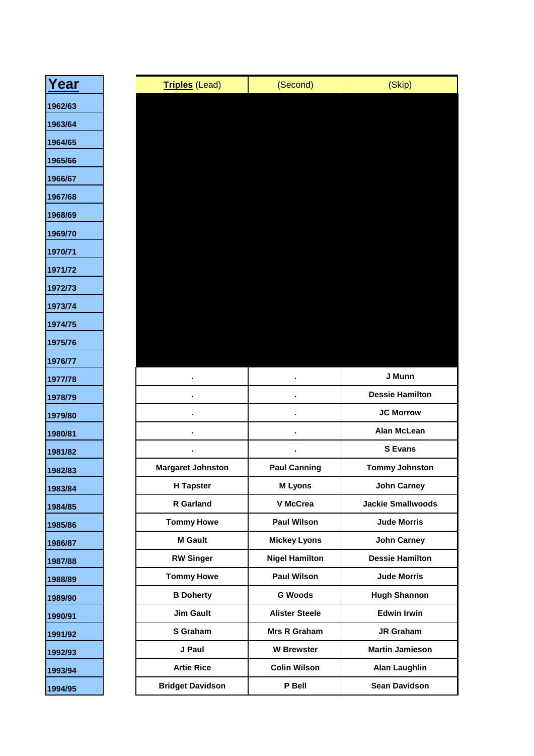| Year    | <b>Triples (Lead)</b>    | (Second)              | (Skip)                   |
|---------|--------------------------|-----------------------|--------------------------|
| 1962/63 |                          |                       |                          |
|         |                          |                       |                          |
|         |                          |                       |                          |
|         |                          |                       |                          |
|         |                          |                       |                          |
|         |                          |                       |                          |
|         |                          |                       |                          |
|         |                          |                       |                          |
|         |                          |                       |                          |
|         |                          |                       |                          |
|         |                          |                       |                          |
|         |                          |                       |                          |
|         |                          |                       |                          |
|         |                          |                       |                          |
|         |                          |                       |                          |
|         |                          |                       | J Munn                   |
|         |                          |                       | <b>Dessie Hamilton</b>   |
|         |                          |                       | <b>JC Morrow</b>         |
|         |                          |                       | <b>Alan McLean</b>       |
|         |                          |                       | <b>S</b> Evans           |
|         | <b>Margaret Johnston</b> | <b>Paul Canning</b>   | <b>Tommy Johnston</b>    |
|         | <b>H</b> Tapster         | <b>M</b> Lyons        | <b>John Carney</b>       |
|         | R Garland                | V McCrea              | <b>Jackie Smallwoods</b> |
|         | <b>Tommy Howe</b>        | <b>Paul Wilson</b>    | <b>Jude Morris</b>       |
|         | <b>M</b> Gault           | <b>Mickey Lyons</b>   | <b>John Carney</b>       |
|         | <b>RW Singer</b>         | <b>Nigel Hamilton</b> | <b>Dessie Hamilton</b>   |
|         | <b>Tommy Howe</b>        | <b>Paul Wilson</b>    | <b>Jude Morris</b>       |
|         | <b>B</b> Doherty         | <b>G Woods</b>        | <b>Hugh Shannon</b>      |
|         | <b>Jim Gault</b>         | <b>Alister Steele</b> | <b>Edwin Irwin</b>       |
|         | S Graham                 | Mrs R Graham          | JR Graham                |
|         | J Paul                   | <b>W</b> Brewster     | <b>Martin Jamieson</b>   |
|         | <b>Artie Rice</b>        | <b>Colin Wilson</b>   | <b>Alan Laughlin</b>     |
|         | <b>Bridget Davidson</b>  | P Bell                | <b>Sean Davidson</b>     |